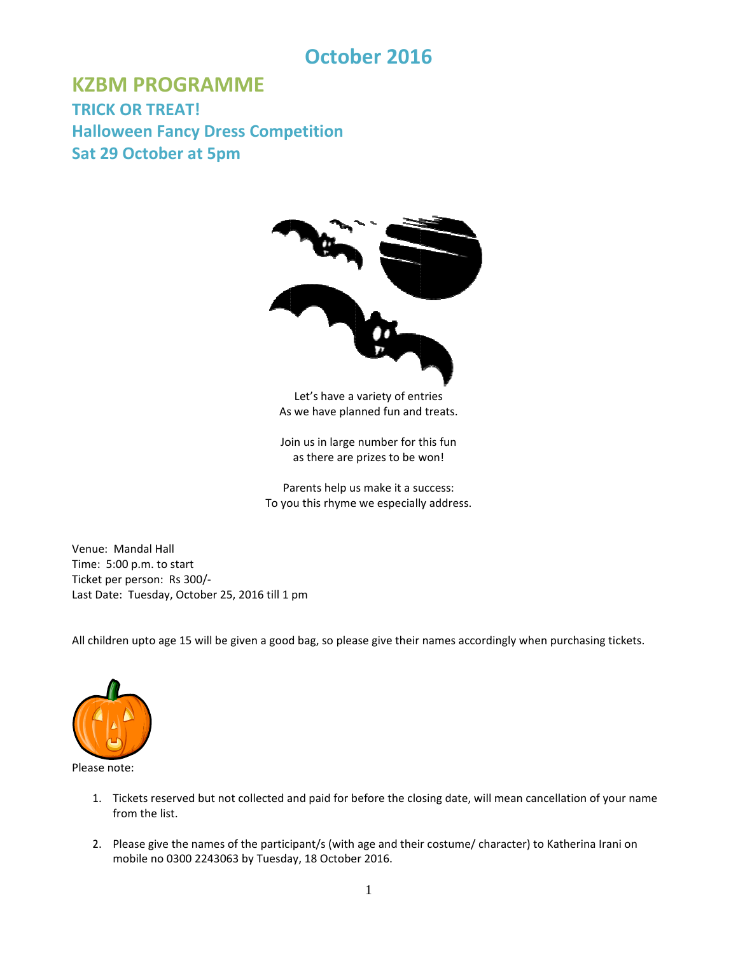# **Octob ber 201 6**

**KZBM PROGRAMME TRI CK OR TR REAT! Halloween Fancy Dress Competition Sat 29 Octob ber at 5p m**



As we have planned fun and treats. Let's have a variety of entries

Join us in large number for this fun as there are prizes to be won!

Parents help us make it a success: To you this rhyme we especially address.

Venue: Mandal Hall Time: 5:00 p.m. to start Ticke et per person : Rs 300/‐ Last Date: Tuesday, October 25, 2016 till 1 pm

All children upto age 15 will be given a good bag, so please give their names accordingly when purchasing tickets.



Please note:

- 1. Tickets reserved but not collected and paid for before the closing date, will mean cancellation of your name from the list.
- 2. Please give the names of the participant/s (with age and their costume/ character) to Katherina Irani on mobile no 0300 2243063 by Tuesday, 18 October 2016.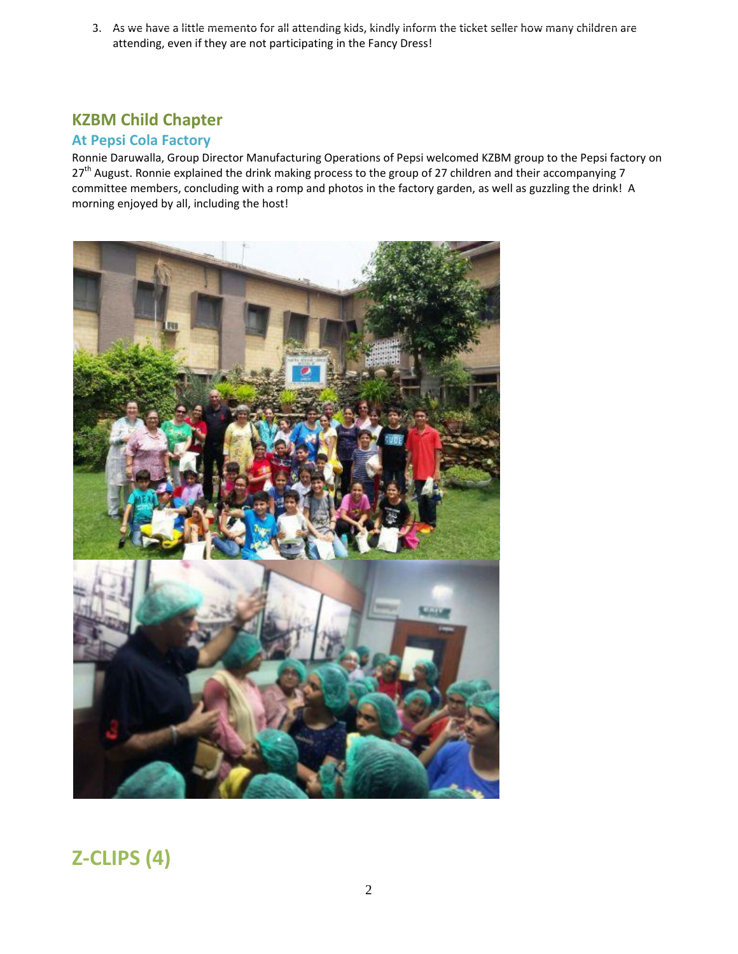3. As we have a little memento for all attending kids, kindly inform the ticket seller how many children are attending, even if they are not participating in the Fancy Dress!

### **KZBM Child Chapter**

### **At Pepsi Cola Factory**

Ronnie Daruwalla, Group Director Manufacturing Operations of Pepsi welcomed KZBM group to the Pepsi factory on 27<sup>th</sup> August. Ronnie explained the drink making process to the group of 27 children and their accompanying 7 committee members, concluding with a romp and photos in the factory garden, as well as guzzling the drink! A morning enjoyed by all, including the host!



# **Z‐CLIPS (4)**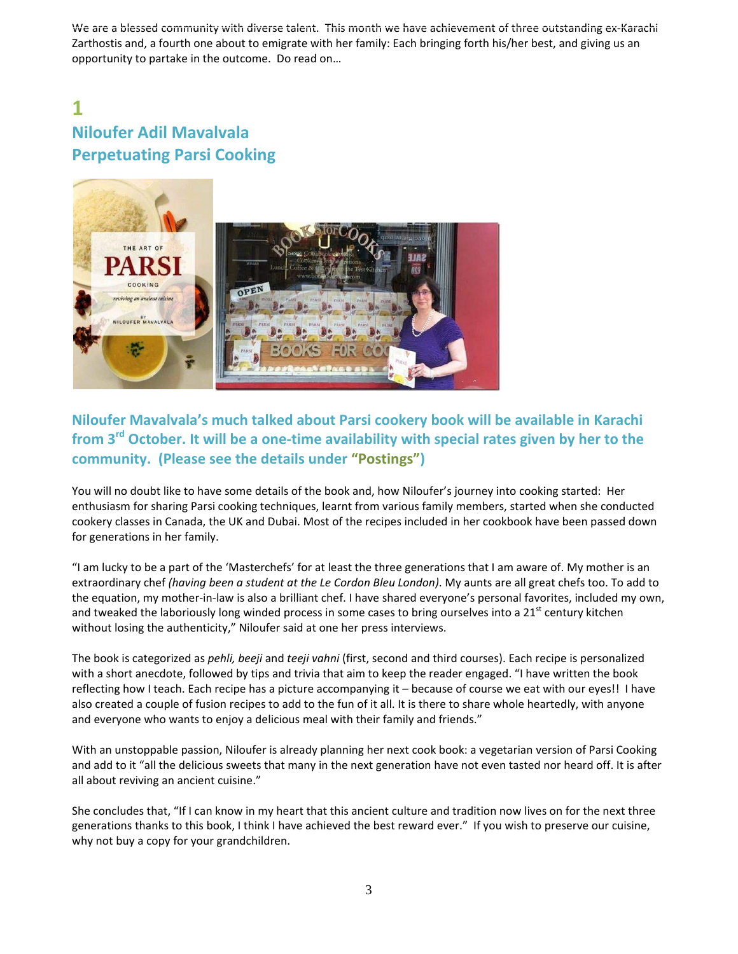We are a blessed community with diverse talent. This month we have achievement of three outstanding ex-Karachi Zarthostis and, a fourth one about to emigrate with her family: Each bringing forth his/her best, and giving us an opportunity to partake in the outcome. Do read on…

## **1 Niloufer Adil Mavalvala Perpetuating Parsi Cooking**



### **Niloufer Mavalvala's much talked about Parsi cookery book will be available in Karachi from 3rd October. It will be a one‐time availability with special rates given by her to the community. (Please see the details under "Postings")**

You will no doubt like to have some details of the book and, how Niloufer's journey into cooking started: Her enthusiasm for sharing Parsi cooking techniques, learnt from various family members, started when she conducted cookery classes in Canada, the UK and Dubai. Most of the recipes included in her cookbook have been passed down for generations in her family.

"I am lucky to be a part of the 'Masterchefs' for at least the three generations that I am aware of. My mother is an extraordinary chef *(having been a student at the Le Cordon Bleu London)*. My aunts are all great chefs too. To add to the equation, my mother‐in‐law is also a brilliant chef. I have shared everyone's personal favorites, included my own, and tweaked the laboriously long winded process in some cases to bring ourselves into a  $21<sup>st</sup>$  century kitchen without losing the authenticity," Niloufer said at one her press interviews.

The book is categorized as *pehli, beeji* and *teeji vahni* (first, second and third courses). Each recipe is personalized with a short anecdote, followed by tips and trivia that aim to keep the reader engaged. "I have written the book reflecting how I teach. Each recipe has a picture accompanying it – because of course we eat with our eyes!! I have also created a couple of fusion recipes to add to the fun of it all. It is there to share whole heartedly, with anyone and everyone who wants to enjoy a delicious meal with their family and friends."

With an unstoppable passion, Niloufer is already planning her next cook book: a vegetarian version of Parsi Cooking and add to it "all the delicious sweets that many in the next generation have not even tasted nor heard off. It is after all about reviving an ancient cuisine."

She concludes that, "If I can know in my heart that this ancient culture and tradition now lives on for the next three generations thanks to this book, I think I have achieved the best reward ever." If you wish to preserve our cuisine, why not buy a copy for your grandchildren.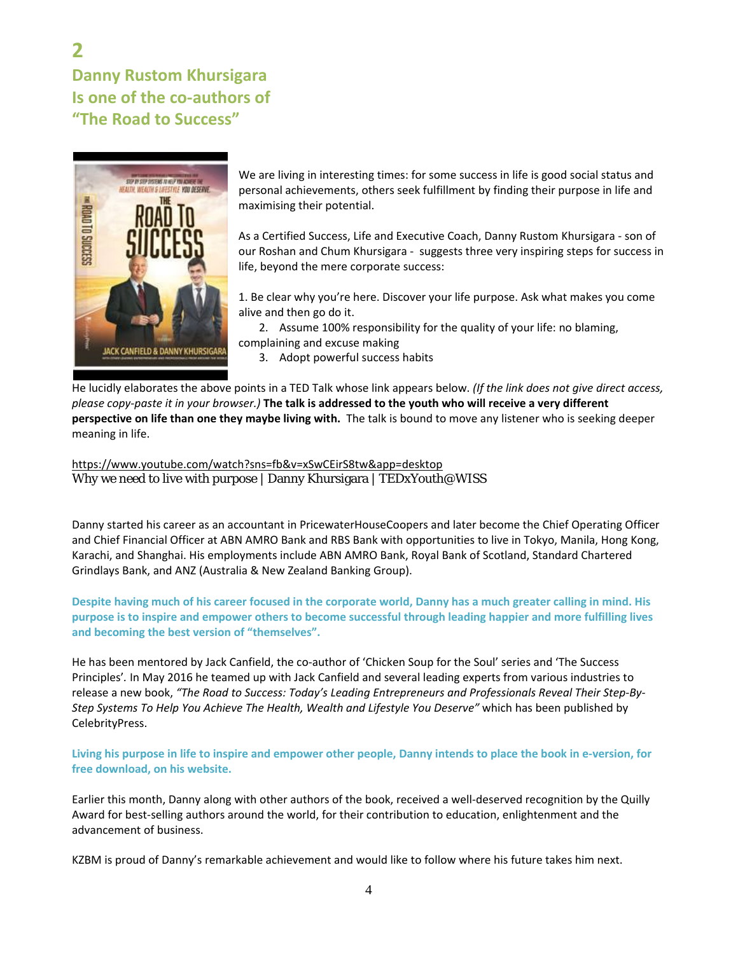## **2 Danny Rustom Khursigara Is one of the co‐authors of "The Road to Success"**



We are living in interesting times: for some success in life is good social status and personal achievements, others seek fulfillment by finding their purpose in life and maximising their potential.

As a Certified Success, Life and Executive Coach, Danny Rustom Khursigara ‐ son of our Roshan and Chum Khursigara - suggests three very inspiring steps for success in life, beyond the mere corporate success:

1. Be clear why you're here. Discover your life purpose. Ask what makes you come alive and then go do it.

2. Assume 100% responsibility for the quality of your life: no blaming, complaining and excuse making

3. Adopt powerful success habits

He lucidly elaborates the above points in a TED Talk whose link appears below. *(If the link does not give direct access,* please copy-paste it in your browser.) The talk is addressed to the youth who will receive a very different **perspective on life than one they maybe living with.** The talk is bound to move any listener who is seeking deeper meaning in life.

https://www.youtube.com/watch?sns=fb&v=xSwCEirS8tw&app=desktop Why we need to live with purpose | Danny Khursigara | TEDxYouth@WISS

Danny started his career as an accountant in PricewaterHouseCoopers and later become the Chief Operating Officer and Chief Financial Officer at ABN AMRO Bank and RBS Bank with opportunities to live in Tokyo, Manila, Hong Kong, Karachi, and Shanghai. His employments include ABN AMRO Bank, Royal Bank of Scotland, Standard Chartered Grindlays Bank, and ANZ (Australia & New Zealand Banking Group).

Despite having much of his career focused in the corporate world, Danny has a much greater calling in mind. His purpose is to inspire and empower others to become successful through leading happier and more fulfilling lives **and becoming the best version of "themselves".**

He has been mentored by Jack Canfield, the co-author of 'Chicken Soup for the Soul' series and 'The Success Principles'*.* In May 2016 he teamed up with Jack Canfield and several leading experts from various industries to release a new book, *"The Road to Success: Today's Leading Entrepreneurs and Professionals Reveal Their Step‐By‐ Step Systems To Help You Achieve The Health, Wealth and Lifestyle You Deserve"* which has been published by CelebrityPress.

Living his purpose in life to inspire and empower other people, Danny intends to place the book in e-version, for **free download, on his website.**

Earlier this month, Danny along with other authors of the book, received a well‐deserved recognition by the Quilly Award for best‐selling authors around the world, for their contribution to education, enlightenment and the advancement of business.

KZBM is proud of Danny's remarkable achievement and would like to follow where his future takes him next.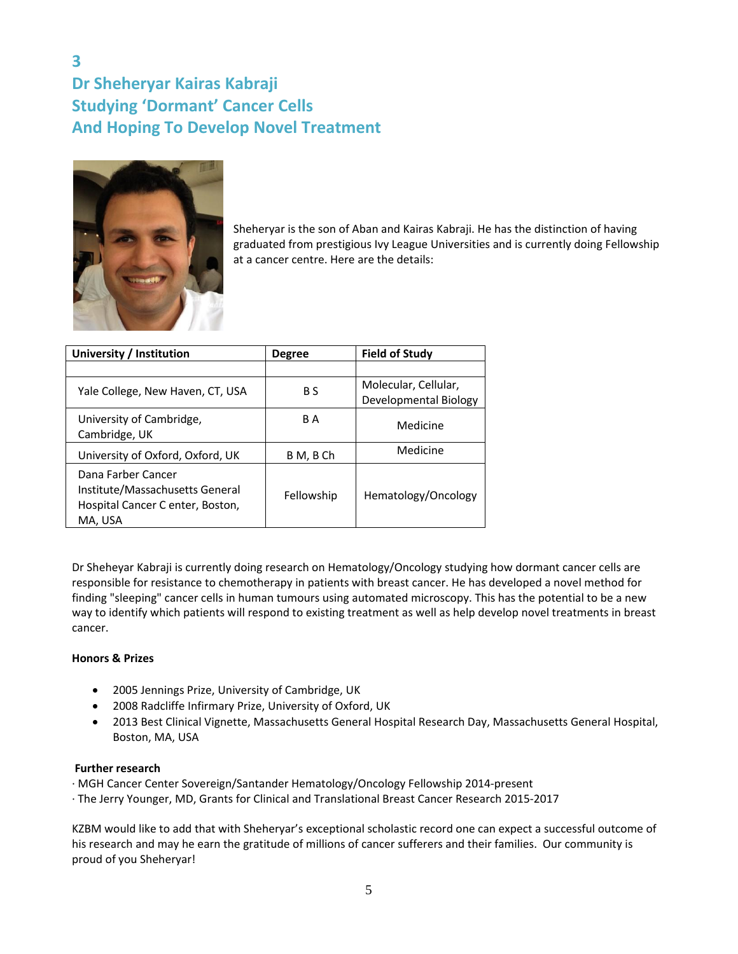### **3 Dr Sheheryar Kairas Kabraji Studying 'Dormant' Cancer Cells And Hoping To Develop Novel Treatment**



Sheheryar is the son of Aban and Kairas Kabraji. He has the distinction of having graduated from prestigious Ivy League Universities and is currently doing Fellowship at a cancer centre. Here are the details:

| University / Institution                                                                             | <b>Degree</b> | <b>Field of Study</b> |
|------------------------------------------------------------------------------------------------------|---------------|-----------------------|
|                                                                                                      |               |                       |
| Yale College, New Haven, CT, USA                                                                     | B S           | Molecular, Cellular,  |
|                                                                                                      |               | Developmental Biology |
| University of Cambridge,<br>Cambridge, UK                                                            | B A           | Medicine              |
| University of Oxford, Oxford, UK                                                                     | B M, B Ch     | Medicine              |
| Dana Farber Cancer<br>Institute/Massachusetts General<br>Hospital Cancer C enter, Boston,<br>MA. USA | Fellowship    | Hematology/Oncology   |

Dr Sheheyar Kabraji is currently doing research on Hematology/Oncology studying how dormant cancer cells are responsible for resistance to chemotherapy in patients with breast cancer. He has developed a novel method for finding "sleeping" cancer cells in human tumours using automated microscopy. This has the potential to be a new way to identify which patients will respond to existing treatment as well as help develop novel treatments in breast cancer.

#### **Honors & Prizes**

- 2005 Jennings Prize, University of Cambridge, UK
- 2008 Radcliffe Infirmary Prize, University of Oxford, UK
- 2013 Best Clinical Vignette, Massachusetts General Hospital Research Day, Massachusetts General Hospital, Boston, MA, USA

#### **Further research**

∙ MGH Cancer Center Sovereign/Santander Hematology/Oncology Fellowship 2014‐present

∙ The Jerry Younger, MD, Grants for Clinical and Translational Breast Cancer Research 2015‐2017

KZBM would like to add that with Sheheryar's exceptional scholastic record one can expect a successful outcome of his research and may he earn the gratitude of millions of cancer sufferers and their families. Our community is proud of you Sheheryar!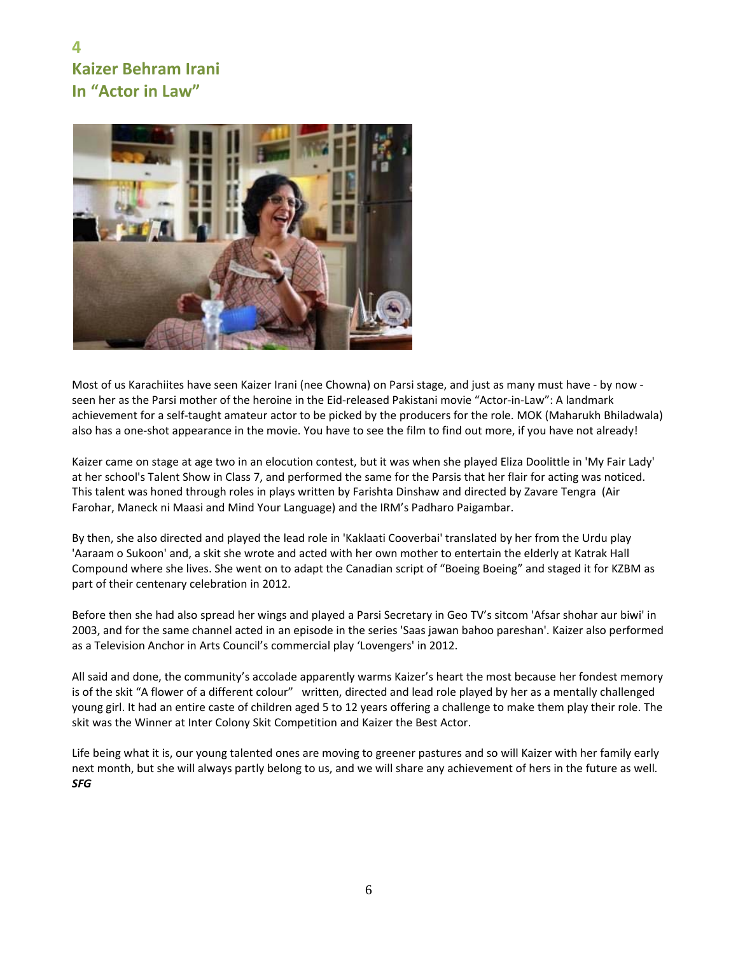### **4 Kaizer Behram Irani In "Actor in Law"**



Most of us Karachiites have seen Kaizer Irani (nee Chowna) on Parsi stage, and just as many must have - by now seen her as the Parsi mother of the heroine in the Eid-released Pakistani movie "Actor-in-Law": A landmark achievement for a self-taught amateur actor to be picked by the producers for the role. MOK (Maharukh Bhiladwala) also has a one‐shot appearance in the movie. You have to see the film to find out more, if you have not already!

Kaizer came on stage at age two in an elocution contest, but it was when she played Eliza Doolittle in 'My Fair Lady' at her school's Talent Show in Class 7, and performed the same for the Parsis that her flair for acting was noticed. This talent was honed through roles in plays written by Farishta Dinshaw and directed by Zavare Tengra (Air Farohar, Maneck ni Maasi and Mind Your Language) and the IRM's Padharo Paigambar.

By then, she also directed and played the lead role in 'Kaklaati Cooverbai' translated by her from the Urdu play 'Aaraam o Sukoon' and, a skit she wrote and acted with her own mother to entertain the elderly at Katrak Hall Compound where she lives. She went on to adapt the Canadian script of "Boeing Boeing" and staged it for KZBM as part of their centenary celebration in 2012.

Before then she had also spread her wings and played a Parsi Secretary in Geo TV's sitcom 'Afsar shohar aur biwi' in 2003, and for the same channel acted in an episode in the series 'Saas jawan bahoo pareshan'. Kaizer also performed as a Television Anchor in Arts Council's commercial play 'Lovengers' in 2012.

All said and done, the community's accolade apparently warms Kaizer's heart the most because her fondest memory is of the skit "A flower of a different colour" written, directed and lead role played by her as a mentally challenged young girl. It had an entire caste of children aged 5 to 12 years offering a challenge to make them play their role. The skit was the Winner at Inter Colony Skit Competition and Kaizer the Best Actor.

Life being what it is, our young talented ones are moving to greener pastures and so will Kaizer with her family early next month, but she will always partly belong to us, and we will share any achievement of hers in the future as well*. SFG*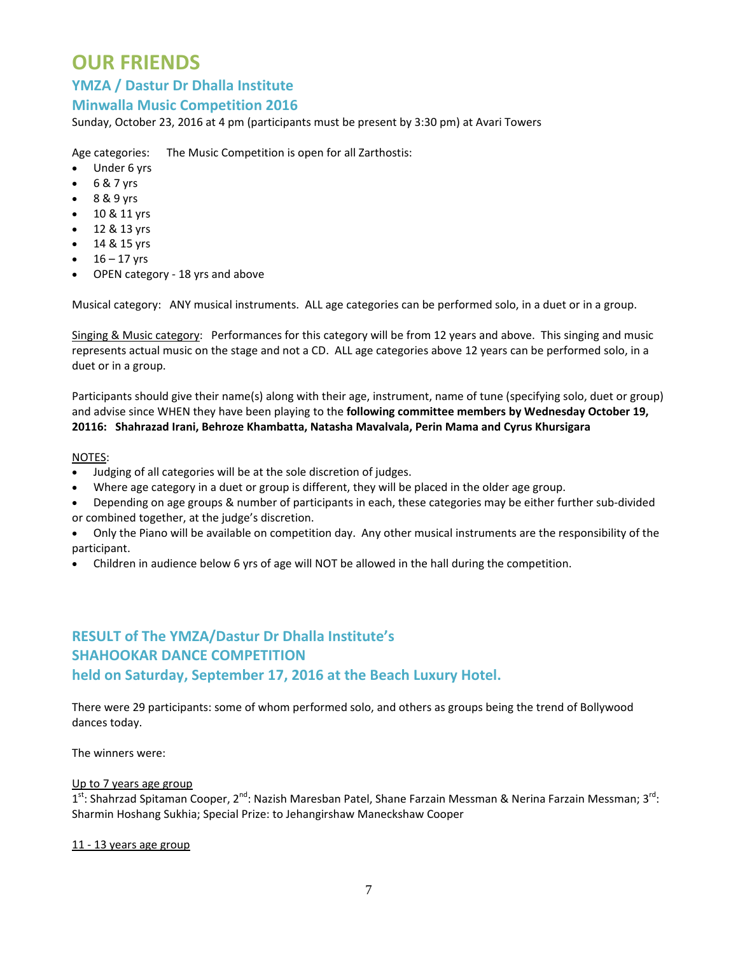## **OUR FRIENDS**

### **YMZA / Dastur Dr Dhalla Institute**

### **Minwalla Music Competition 2016**

Sunday, October 23, 2016 at 4 pm (participants must be present by 3:30 pm) at Avari Towers

Age categories: The Music Competition is open for all Zarthostis:

- Under 6 yrs
- $6 & 7$  yrs
- 8 & 9 yrs
- 10 & 11 yrs
- $12 & 8 & 13 & 9$ rs
- 14 & 15 yrs
- $16 17$  yrs
- OPEN category 18 yrs and above

Musical category:   ANY musical instruments. ALL age categories can be performed solo, in a duet or in a group.

Singing & Music category: Performances for this category will be from 12 years and above. This singing and music represents actual music on the stage and not a CD. ALL age categories above 12 years can be performed solo, in a duet or in a group.

Participants should give their name(s) along with their age, instrument, name of tune (specifying solo, duet or group) and advise since WHEN they have been playing to the **following committee members by Wednesday October 19, 20116: Shahrazad Irani, Behroze Khambatta, Natasha Mavalvala, Perin Mama and Cyrus Khursigara**

#### NOTES:

- Judging of all categories will be at the sole discretion of judges.
- Where age category in a duet or group is different, they will be placed in the older age group.
- Depending on age groups & number of participants in each, these categories may be either further sub‐divided or combined together, at the judge's discretion.
- Only the Piano will be available on competition day. Any other musical instruments are the responsibility of the participant.
- Children in audience below 6 yrs of age will NOT be allowed in the hall during the competition.

### **RESULT of The YMZA/Dastur Dr Dhalla Institute's SHAHOOKAR DANCE COMPETITION held on Saturday, September 17, 2016 at the Beach Luxury Hotel.**

There were 29 participants: some of whom performed solo, and others as groups being the trend of Bollywood dances today.

The winners were:

#### Up to 7 years age group

1<sup>st</sup>: Shahrzad Spitaman Cooper, 2<sup>nd</sup>: Nazish Maresban Patel, Shane Farzain Messman & Nerina Farzain Messman; 3<sup>rd</sup>: Sharmin Hoshang Sukhia; Special Prize: to Jehangirshaw Maneckshaw Cooper

#### 11 ‐ 13 years age group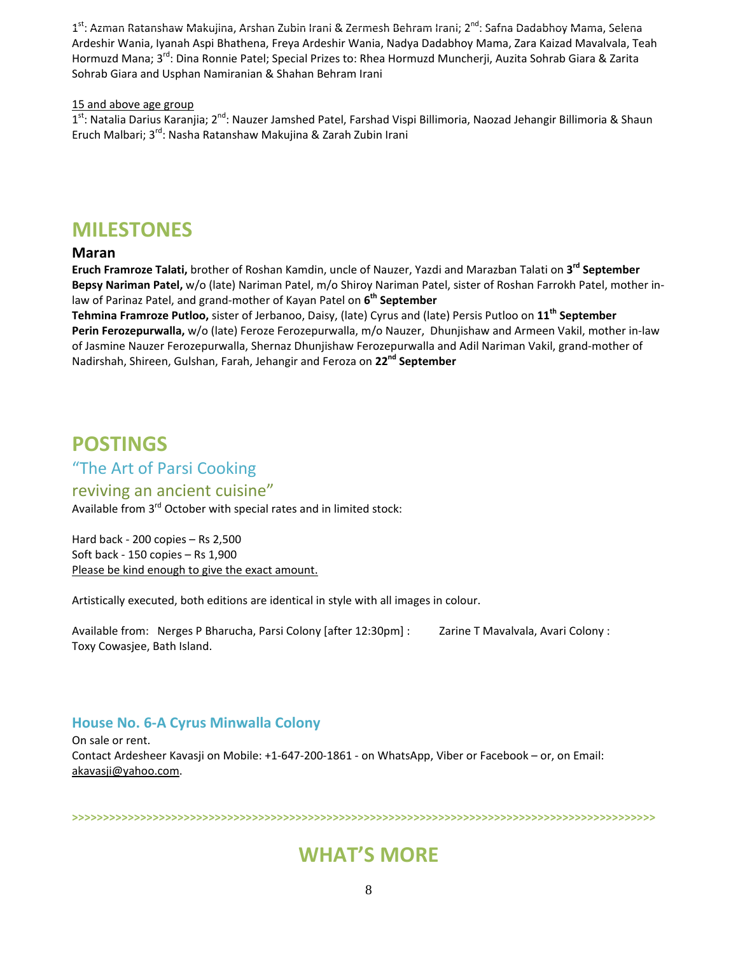1st: Azman Ratanshaw Makujina, Arshan Zubin Irani & Zermesh Behram Irani; 2<sup>nd</sup>: Safna Dadabhoy Mama, Selena Ardeshir Wania, Iyanah Aspi Bhathena, Freya Ardeshir Wania, Nadya Dadabhoy Mama, Zara Kaizad Mavalvala, Teah Hormuzd Mana; 3<sup>rd</sup>: Dina Ronnie Patel; Special Prizes to: Rhea Hormuzd Muncherji, Auzita Sohrab Giara & Zarita Sohrab Giara and Usphan Namiranian & Shahan Behram Irani

#### 15 and above age group

1<sup>st</sup>: Natalia Darius Karanjia; 2<sup>nd</sup>: Nauzer Jamshed Patel, Farshad Vispi Billimoria, Naozad Jehangir Billimoria & Shaun Eruch Malbari; 3rd: Nasha Ratanshaw Makujina & Zarah Zubin Irani

### **MILESTONES**

### **Maran**

**Eruch Framroze Talati,** brother of Roshan Kamdin, uncle of Nauzer, Yazdi and Marazban Talati on **3rd September Bepsy Nariman Patel,** w/o (late) Nariman Patel, m/o Shiroy Nariman Patel, sister of Roshan Farrokh Patel, mother in‐ law of Parinaz Patel, and grand‐mother of Kayan Patel on **6th September**

**Tehmina Framroze Putloo,** sister of Jerbanoo, Daisy, (late) Cyrus and (late) Persis Putloo on **11th September Perin Ferozepurwalla,** w/o (late) Feroze Ferozepurwalla, m/o Nauzer, Dhunjishaw and Armeen Vakil, mother in‐law of Jasmine Nauzer Ferozepurwalla, Shernaz Dhunjishaw Ferozepurwalla and Adil Nariman Vakil, grand‐mother of Nadirshah, Shireen, Gulshan, Farah, Jehangir and Feroza on **22nd September**

## **POSTINGS**

### "The Art of Parsi Cooking

### reviving an ancient cuisine"

Available from 3<sup>rd</sup> October with special rates and in limited stock:

Hard back ‐ 200 copies – Rs 2,500 Soft back ‐ 150 copies – Rs 1,900 Please be kind enough to give the exact amount.

Artistically executed, both editions are identical in style with all images in colour.

Available from: Nerges P Bharucha, Parsi Colony [after 12:30pm] : Zarine T Mavalvala, Avari Colony : Toxy Cowasjee, Bath Island.

### **House No. 6‐A Cyrus Minwalla Colony**

On sale or rent. Contact Ardesheer Kavasji on Mobile: +1‐647‐200‐1861 ‐ on WhatsApp, Viber or Facebook – or, on Email: akavasji@yahoo.com.

**>>>>>>>>>>>>>>>>>>>>>>>>>>>>>>>>>>>>>>>>>>>>>>>>>>>>>>>>>>>>>>>>>>>>>>>>>>>>>>>>>>>>>>>>>>>>>>**

## **WHAT'S MORE**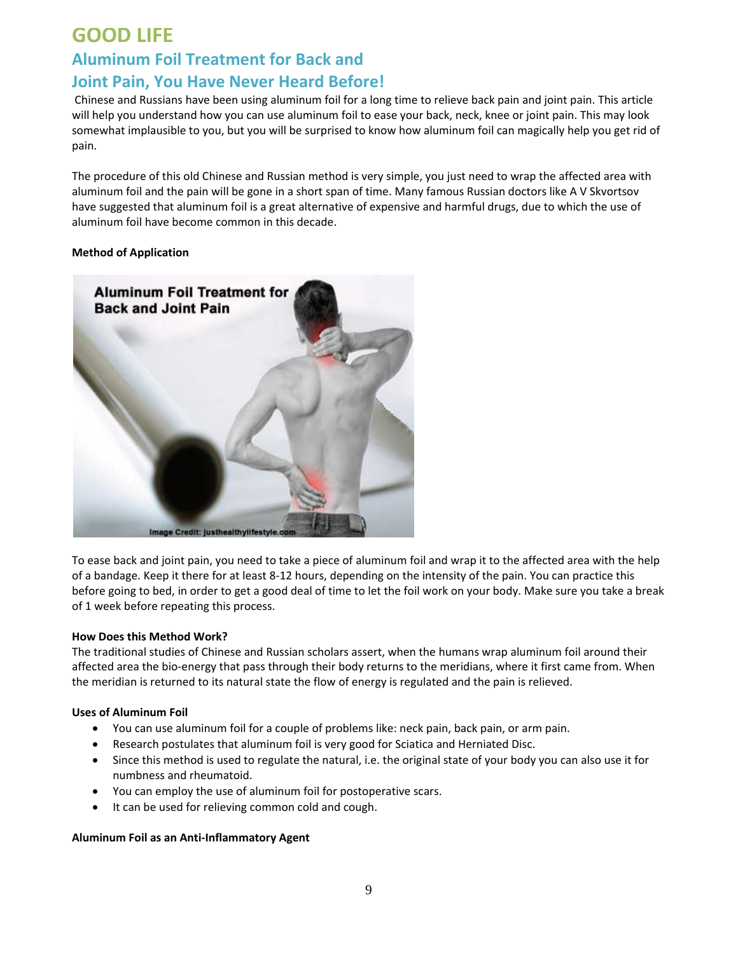## **GOOD LIFE**

## **Aluminum Foil Treatment for Back and Joint Pain, You Have Never Heard Before!**

Chinese and Russians have been using aluminum foil for a long time to relieve back pain and joint pain. This article will help you understand how you can use aluminum foil to ease your back, neck, knee or joint pain. This may look somewhat implausible to you, but you will be surprised to know how aluminum foil can magically help you get rid of pain.

The procedure of this old Chinese and Russian method is very simple, you just need to wrap the affected area with aluminum foil and the pain will be gone in a short span of time. Many famous Russian doctors like A V Skvortsov have suggested that aluminum foil is a great alternative of expensive and harmful drugs, due to which the use of aluminum foil have become common in this decade.

#### **Method of Application**



To ease back and joint pain, you need to take a piece of aluminum foil and wrap it to the affected area with the help of a bandage. Keep it there for at least 8‐12 hours, depending on the intensity of the pain. You can practice this before going to bed, in order to get a good deal of time to let the foil work on your body. Make sure you take a break of 1 week before repeating this process.

#### **How Does this Method Work?**

The traditional studies of Chinese and Russian scholars assert, when the humans wrap aluminum foil around their affected area the bio‐energy that pass through their body returns to the meridians, where it first came from. When the meridian is returned to its natural state the flow of energy is regulated and the pain is relieved.

#### **Uses of Aluminum Foil**

- You can use aluminum foil for a couple of problems like: neck pain, back pain, or arm pain.
- Research postulates that aluminum foil is very good for Sciatica and Herniated Disc.
- Since this method is used to regulate the natural, i.e. the original state of your body you can also use it for numbness and rheumatoid.
- You can employ the use of aluminum foil for postoperative scars.
- It can be used for relieving common cold and cough.

#### **Aluminum Foil as an Anti‐Inflammatory Agent**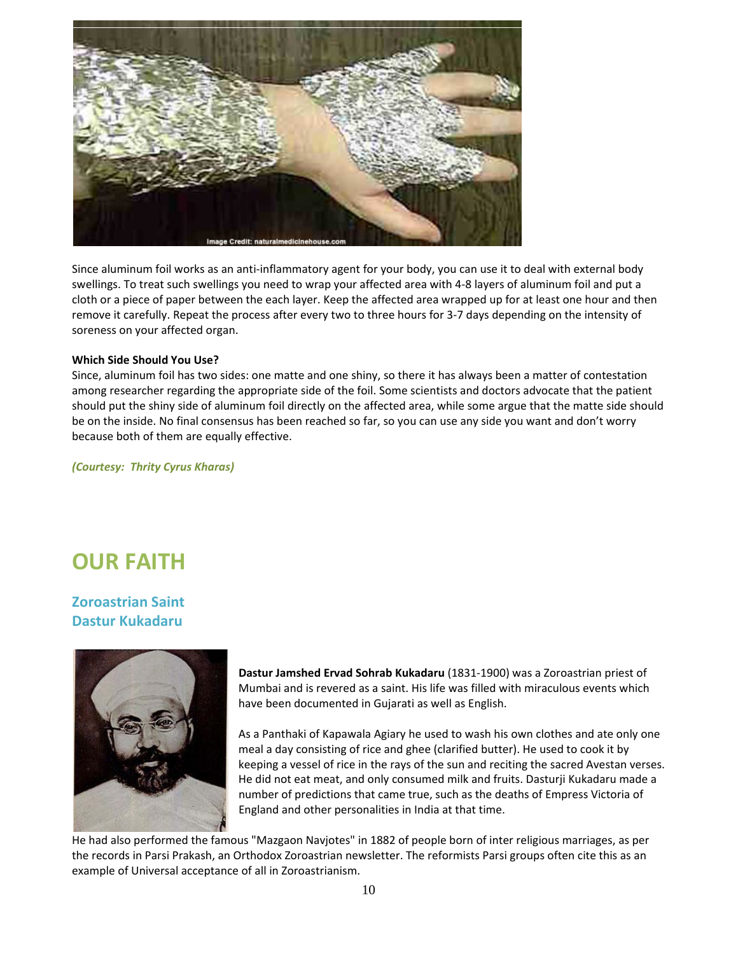

Since aluminum foil works as an anti‐inflammatory agent for your body, you can use it to deal with external body swellings. To treat such swellings you need to wrap your affected area with 4‐8 layers of aluminum foil and put a cloth or a piece of paper between the each layer. Keep the affected area wrapped up for at least one hour and then remove it carefully. Repeat the process after every two to three hours for 3‐7 days depending on the intensity of soreness on your affected organ.

#### **Which Side Should You Use?**

Since, aluminum foil has two sides: one matte and one shiny, so there it has always been a matter of contestation among researcher regarding the appropriate side of the foil. Some scientists and doctors advocate that the patient should put the shiny side of aluminum foil directly on the affected area, while some argue that the matte side should be on the inside. No final consensus has been reached so far, so you can use any side you want and don't worry because both of them are equally effective.

*(Courtesy: Thrity Cyrus Kharas)*

# **OUR FAITH**

**Zoroastrian Saint Dastur Kukadaru**



**Dastur Jamshed Ervad Sohrab Kukadaru** (1831‐1900) was a Zoroastrian priest of Mumbai and is revered as a saint. His life was filled with miraculous events which have been documented in Gujarati as well as English.

As a Panthaki of Kapawala Agiary he used to wash his own clothes and ate only one meal a day consisting of rice and ghee (clarified butter). He used to cook it by keeping a vessel of rice in the rays of the sun and reciting the sacred Avestan verses. He did not eat meat, and only consumed milk and fruits. Dasturji Kukadaru made a number of predictions that came true, such as the deaths of Empress Victoria of England and other personalities in India at that time.

He had also performed the famous "Mazgaon Navjotes" in 1882 of people born of inter religious marriages, as per the records in Parsi Prakash, an Orthodox Zoroastrian newsletter. The reformists Parsi groups often cite this as an example of Universal acceptance of all in Zoroastrianism.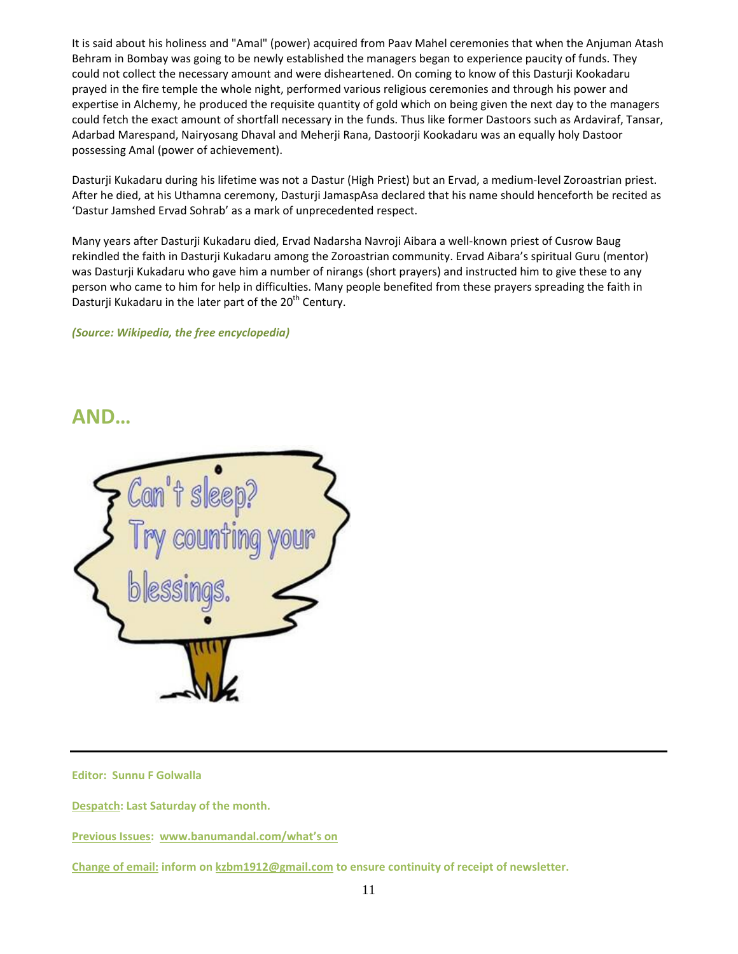It is said about his holiness and "Amal" (power) acquired from Paav Mahel ceremonies that when the Anjuman Atash Behram in Bombay was going to be newly established the managers began to experience paucity of funds. They could not collect the necessary amount and were disheartened. On coming to know of this Dasturji Kookadaru prayed in the fire temple the whole night, performed various religious ceremonies and through his power and expertise in Alchemy, he produced the requisite quantity of gold which on being given the next day to the managers could fetch the exact amount of shortfall necessary in the funds. Thus like former Dastoors such as Ardaviraf, Tansar, Adarbad Marespand, Nairyosang Dhaval and Meherji Rana, Dastoorji Kookadaru was an equally holy Dastoor possessing Amal (power of achievement).

Dasturji Kukadaru during his lifetime was not a Dastur (High Priest) but an Ervad, a medium‐level Zoroastrian priest. After he died, at his Uthamna ceremony, Dasturji JamaspAsa declared that his name should henceforth be recited as 'Dastur Jamshed Ervad Sohrab' as a mark of unprecedented respect.

Many years after Dasturji Kukadaru died, Ervad Nadarsha Navroji Aibara a well‐known priest of Cusrow Baug rekindled the faith in Dasturji Kukadaru among the Zoroastrian community. Ervad Aibara's spiritual Guru (mentor) was Dasturji Kukadaru who gave him a number of nirangs (short prayers) and instructed him to give these to any person who came to him for help in difficulties. Many people benefited from these prayers spreading the faith in Dasturji Kukadaru in the later part of the 20<sup>th</sup> Century.

*(Source: Wikipedia, the free encyclopedia)*

### **AND…**



**Editor: Sunnu F Golwalla**

**Despatch: Last Saturday of the month.**

**Previous Issues: www.banumandal.com/what's on**

**Change of email: inform on kzbm1912@gmail.com to ensure continuity of receipt of newsletter.**